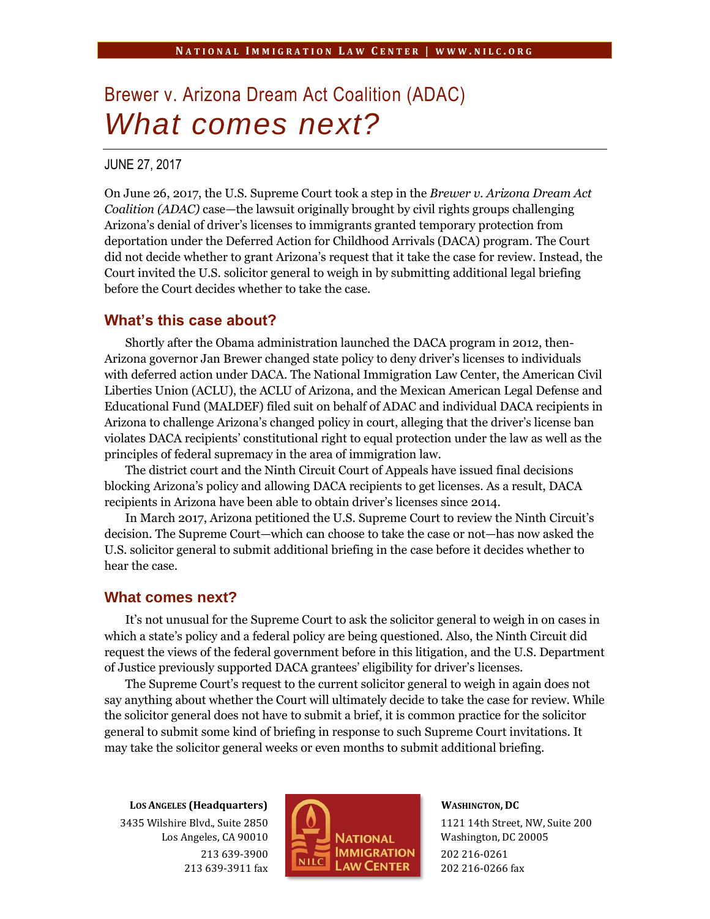# Brewer v. Arizona Dream Act Coalition (ADAC) *What comes next?*

### JUNE 27, 2017

On June 26, 2017, the U.S. Supreme Court took a step in the *Brewer v. Arizona Dream Act Coalition (ADAC)* case—the lawsuit originally brought by civil rights groups challenging Arizona's denial of driver's licenses to immigrants granted temporary protection from deportation under the Deferred Action for Childhood Arrivals (DACA) program. The Court did not decide whether to grant Arizona's request that it take the case for review. Instead, the Court invited the U.S. solicitor general to weigh in by submitting additional legal briefing before the Court decides whether to take the case.

## **What's this case about?**

Shortly after the Obama administration launched the DACA program in 2012, then-Arizona governor Jan Brewer changed state policy to deny driver's licenses to individuals with deferred action under DACA. The National Immigration Law Center, the American Civil Liberties Union (ACLU), the ACLU of Arizona, and the Mexican American Legal Defense and Educational Fund (MALDEF) filed suit on behalf of ADAC and individual DACA recipients in Arizona to challenge Arizona's changed policy in court, alleging that the driver's license ban violates DACA recipients' constitutional right to equal protection under the law as well as the principles of federal supremacy in the area of immigration law.

The district court and the Ninth Circuit Court of Appeals have issued final decisions blocking Arizona's policy and allowing DACA recipients to get licenses. As a result, DACA recipients in Arizona have been able to obtain driver's licenses since 2014.

In March 2017, Arizona petitioned the U.S. Supreme Court to review the Ninth Circuit's decision. The Supreme Court—which can choose to take the case or not—has now asked the U.S. solicitor general to submit additional briefing in the case before it decides whether to hear the case.

#### **What comes next?**

It's not unusual for the Supreme Court to ask the solicitor general to weigh in on cases in which a state's policy and a federal policy are being questioned. Also, the Ninth Circuit did request the views of the federal government before in this litigation, and the U.S. Department of Justice previously supported DACA grantees' eligibility for driver's licenses.

The Supreme Court's request to the current solicitor general to weigh in again does not say anything about whether the Court will ultimately decide to take the case for review. While the solicitor general does not have to submit a brief, it is common practice for the solicitor general to submit some kind of briefing in response to such Supreme Court invitations. It may take the solicitor general weeks or even months to submit additional briefing.

**LOS ANGELES (Headquarters)** 3435 Wilshire Blvd., Suite 2850 Los Angeles, CA 90010 213 639-3900 213 639-3911 fax



**WASHINGTON, DC**

1121 14th Street, NW, Suite 200 Washington, DC 20005 202 216-0261 202 216-0266 fax